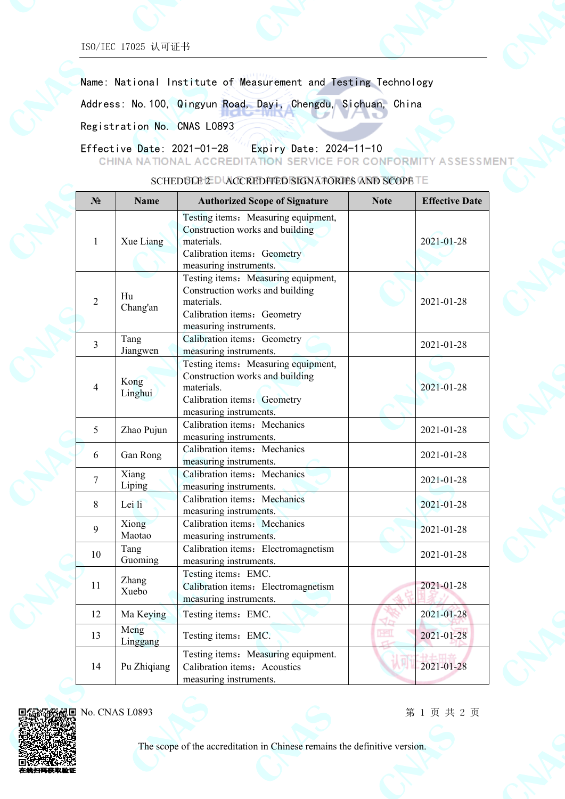ISO/IEC 17025 认可证书

Name: National Institute of Measurement and Testing Technology

Address: No.100, Qingyun Road, Dayi, Chengdu, Sichuan, China

Registration No. CNAS L0893

Effective Date: 2021-01-28 Expiry Date: 2024-11-10

CHINA NATIONAL ACCREDITATION SERVICE FOR CONFORMITY ASSESSMENT

| N <sub>2</sub> | <b>Name</b>      | <b>Authorized Scope of Signature</b>                                                                                                          | <b>Note</b> | <b>Effective Date</b> |
|----------------|------------------|-----------------------------------------------------------------------------------------------------------------------------------------------|-------------|-----------------------|
| $\mathbf{1}$   | Xue Liang        | Testing items: Measuring equipment,<br>Construction works and building<br>materials.<br>Calibration items: Geometry<br>measuring instruments. |             | 2021-01-28            |
| $\overline{2}$ | Hu<br>Chang'an   | Testing items: Measuring equipment,<br>Construction works and building<br>materials.<br>Calibration items: Geometry<br>measuring instruments. |             | 2021-01-28            |
| 3              | Tang<br>Jiangwen | Calibration items: Geometry<br>measuring instruments.                                                                                         |             | 2021-01-28            |
| 4              | Kong<br>Linghui  | Testing items: Measuring equipment,<br>Construction works and building<br>materials.<br>Calibration items: Geometry<br>measuring instruments. |             | 2021-01-28            |
| 5              | Zhao Pujun       | Calibration items: Mechanics<br>measuring instruments.                                                                                        |             | 2021-01-28            |
| 6              | Gan Rong         | Calibration items: Mechanics<br>measuring instruments.                                                                                        |             | 2021-01-28            |
| $\overline{7}$ | Xiang<br>Liping  | Calibration items: Mechanics<br>measuring instruments.                                                                                        |             | 2021-01-28            |
| 8              | Lei li           | Calibration items: Mechanics<br>measuring instruments.                                                                                        |             | 2021-01-28            |
| 9              | Xiong<br>Maotao  | Calibration items: Mechanics<br>measuring instruments.                                                                                        |             | 2021-01-28            |
| 10             | Tang<br>Guoming  | Calibration items: Electromagnetism<br>measuring instruments.                                                                                 |             | 2021-01-28            |
| 11             | Zhang<br>Xuebo   | Testing items: EMC.<br>Calibration items: Electromagnetism<br>measuring instruments.                                                          |             | 2021-01-28            |
| 12             | Ma Keying        | Testing items: EMC.                                                                                                                           |             | 2021-01-28            |
| 13             | Meng<br>Linggang | Testing items: EMC.                                                                                                                           | <b>HEL</b>  | 2021-01-28            |
| 14             | Pu Zhiqiang      | Testing items: Measuring equipment.<br>Calibration items: Acoustics<br>measuring instruments.                                                 |             | 2021-01-28            |

SCHEDULE 2 D ACCREDITED SIGNATORIES AND SCOPE TE



第 1 页 共 2 页



The scope of the accreditation in Chinese remains the definitive version.